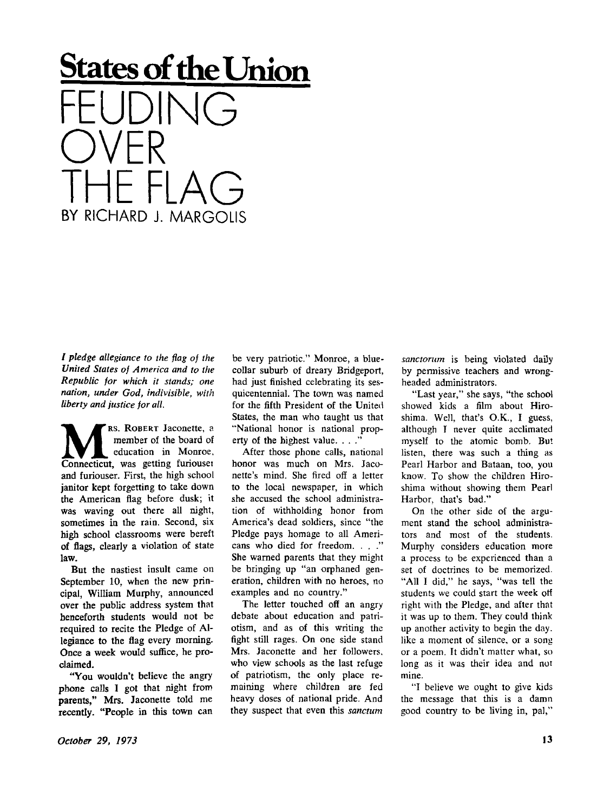**States of the Union**  FEUDING<br>AVER OVER<br>Tue el IHE FLAG BY RICHARD J. MARGOLIS

*/ pledge allegiance to the flag of the United States of America and to the Republic for which it stands; one nation, under God, indivisible, with liberty and justice for all.* 

**M RS.** ROBERT Jaconette, a member of the board of education in Monroe,<br>
Connecticut, was getting furiousei RS. ROBERT Jaconette, a member of the board of education in Monroe, and furiouser. First, the high school janitor kept forgetting to take down the American flag before dusk; it was waving out there all night, sometimes in the rain. Second, six high school classrooms were bereft of flags, clearly a violation of state law.

But the nastiest insult came on September 10, when the new principal, William Murphy, announced over the public address system that henceforth students would not be required to recite the Pledge of Allegiance to the flag every morning. Once a week would suffice, he proclaimed.

"You wouldn't believe the angry phone calls I got that night from parents," Mrs. Jaconette told me recently. "People in this town can be very patriotic." Monroe, a bluecollar suburb of dreary Bridgeport, had just finished celebrating its sesquicentennial. The town was named for the fifth President of the United States, the man who taught us that "National honor is national property of the highest value. . . ."

After those phone calls, national honor was much on Mrs. Jaconette's mind. She fired off a letter to the local newspaper, in which she accused the school administration of withholding honor from America's dead soldiers, since "the Pledge pays homage to all Americans who died for freedom. . . ." She warned parents that they might be bringing up "an orphaned generation, children with no heroes, no examples and no country."

The letter touched off an angry debate about education and patriotism, and as of this writing the fight still rages. On one side stand Mrs. Jaconette and her followers, who view schools as the last refuge of patriotism, the only place remaining where children are fed heavy doses of national pride. And they suspect that even this *sanctum*  *sanctorum* is being violated daily by permissive teachers and wrongheaded administrators.

"Last year," she says, "the school showed kids a film about Hiroshima. Well, that's O.K., I guess, although I never quite acclimated myself to the atomic bomb. But listen, there was such a thing as Pearl Harbor and Bataan, too, you know. To show the children Hiroshima without showing them Pearl Harbor, that's bad."

On the other side of the argument stand the school administrators and most of the students. Murphy considers education more a process to be experienced than a set of doctrines to be memorized. "All I did," he says, "was tell the students we could start the week off right with the Pledge, and after that it was up to them. They could think up another activity to begin the day. like a moment of silence, or a song or a poem. It didn't matter what, so long as it was their idea and not mine.

"I believe we ought to give kids the message that this is a damn good country to be living in, pal,"